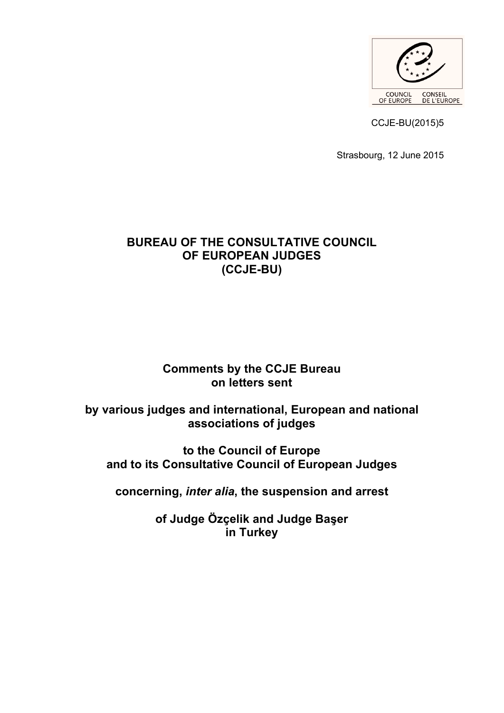

CCJE-BU(2015)5

Strasbourg, 12 June 2015

## **BUREAU OF THE CONSULTATIVE COUNCIL OF EUROPEAN JUDGES (CCJE-BU)**

# **Comments by the CCJE Bureau on letters sent**

# **by various judges and international, European and national associations of judges**

**to the Council of Europe and to its Consultative Council of European Judges**

**concerning,** *inter alia***, the suspension and arrest** 

**of Judge Özçelik and Judge Başer in Turkey**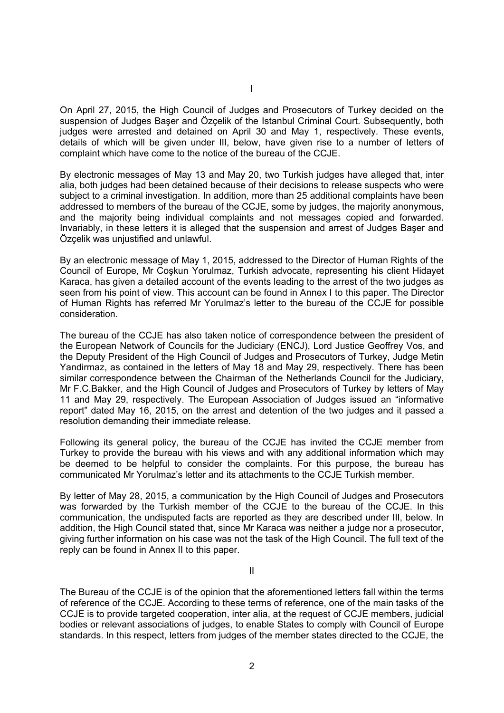On April 27, 2015, the High Council of Judges and Prosecutors of Turkey decided on the suspension of Judges Başer and Özçelik of the Istanbul Criminal Court. Subsequently, both judges were arrested and detained on April 30 and May 1, respectively. These events, details of which will be given under III, below, have given rise to a number of letters of complaint which have come to the notice of the bureau of the CCJE.

I

By electronic messages of May 13 and May 20, two Turkish judges have alleged that, inter alia, both judges had been detained because of their decisions to release suspects who were subject to a criminal investigation. In addition, more than 25 additional complaints have been addressed to members of the bureau of the CCJE, some by judges, the majority anonymous, and the majority being individual complaints and not messages copied and forwarded. Invariably, in these letters it is alleged that the suspension and arrest of Judges Başer and Özçelik was unjustified and unlawful.

By an electronic message of May 1, 2015, addressed to the Director of Human Rights of the Council of Europe, Mr Coşkun Yorulmaz, Turkish advocate, representing his client Hidayet Karaca, has given a detailed account of the events leading to the arrest of the two judges as seen from his point of view. This account can be found in Annex I to this paper. The Director of Human Rights has referred Mr Yorulmaz's letter to the bureau of the CCJE for possible consideration.

The bureau of the CCJE has also taken notice of correspondence between the president of the European Network of Councils for the Judiciary (ENCJ), Lord Justice Geoffrey Vos, and the Deputy President of the High Council of Judges and Prosecutors of Turkey, Judge Metin Yandirmaz, as contained in the letters of May 18 and May 29, respectively. There has been similar correspondence between the Chairman of the Netherlands Council for the Judiciary, Mr F.C.Bakker, and the High Council of Judges and Prosecutors of Turkey by letters of May 11 and May 29, respectively. The European Association of Judges issued an "informative report" dated May 16, 2015, on the arrest and detention of the two judges and it passed a resolution demanding their immediate release.

Following its general policy, the bureau of the CCJE has invited the CCJE member from Turkey to provide the bureau with his views and with any additional information which may be deemed to be helpful to consider the complaints. For this purpose, the bureau has communicated Mr Yorulmaz's letter and its attachments to the CCJE Turkish member.

By letter of May 28, 2015, a communication by the High Council of Judges and Prosecutors was forwarded by the Turkish member of the CCJE to the bureau of the CCJE. In this communication, the undisputed facts are reported as they are described under III, below. In addition, the High Council stated that, since Mr Karaca was neither a judge nor a prosecutor, giving further information on his case was not the task of the High Council. The full text of the reply can be found in Annex II to this paper.

II

The Bureau of the CCJE is of the opinion that the aforementioned letters fall within the terms of reference of the CCJE. According to these terms of reference, one of the main tasks of the CCJE is to provide targeted cooperation, inter alia, at the request of CCJE members, judicial bodies or relevant associations of judges, to enable States to comply with Council of Europe standards. In this respect, letters from judges of the member states directed to the CCJE, the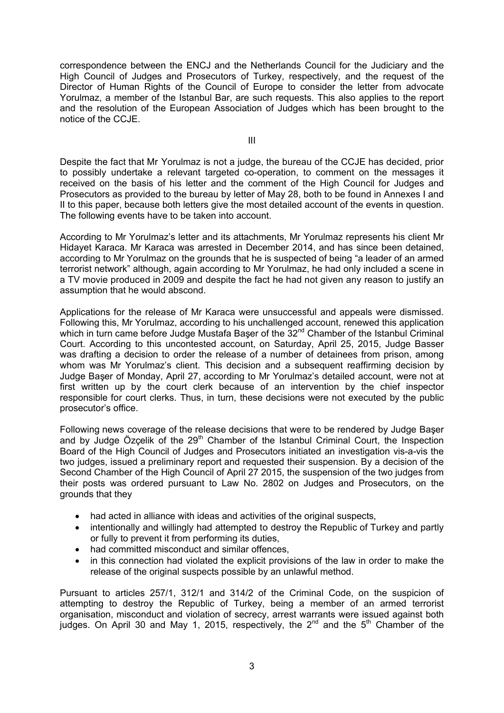correspondence between the ENCJ and the Netherlands Council for the Judiciary and the High Council of Judges and Prosecutors of Turkey, respectively, and the request of the Director of Human Rights of the Council of Europe to consider the letter from advocate Yorulmaz, a member of the Istanbul Bar, are such requests. This also applies to the report and the resolution of the European Association of Judges which has been brought to the notice of the CCJE.

III

Despite the fact that Mr Yorulmaz is not a judge, the bureau of the CCJE has decided, prior to possibly undertake a relevant targeted co-operation, to comment on the messages it received on the basis of his letter and the comment of the High Council for Judges and Prosecutors as provided to the bureau by letter of May 28, both to be found in Annexes I and II to this paper, because both letters give the most detailed account of the events in question. The following events have to be taken into account.

According to Mr Yorulmaz's letter and its attachments, Mr Yorulmaz represents his client Mr Hidayet Karaca. Mr Karaca was arrested in December 2014, and has since been detained, according to Mr Yorulmaz on the grounds that he is suspected of being "a leader of an armed terrorist network" although, again according to Mr Yorulmaz, he had only included a scene in a TV movie produced in 2009 and despite the fact he had not given any reason to justify an assumption that he would abscond.

Applications for the release of Mr Karaca were unsuccessful and appeals were dismissed. Following this, Mr Yorulmaz, according to his unchallenged account, renewed this application which in turn came before Judge Mustafa Baser of the 32<sup>nd</sup> Chamber of the Istanbul Criminal Court. According to this uncontested account, on Saturday, April 25, 2015, Judge Basser was drafting a decision to order the release of a number of detainees from prison, among whom was Mr Yorulmaz's client. This decision and a subsequent reaffirming decision by Judge Başer of Monday, April 27, according to Mr Yorulmaz's detailed account, were not at first written up by the court clerk because of an intervention by the chief inspector responsible for court clerks. Thus, in turn, these decisions were not executed by the public prosecutor's office.

Following news coverage of the release decisions that were to be rendered by Judge Başer and by Judge Özcelik of the  $29<sup>th</sup>$  Chamber of the Istanbul Criminal Court, the Inspection Board of the High Council of Judges and Prosecutors initiated an investigation vis-a-vis the two judges, issued a preliminary report and requested their suspension. By a decision of the Second Chamber of the High Council of April 27 2015, the suspension of the two judges from their posts was ordered pursuant to Law No. 2802 on Judges and Prosecutors, on the grounds that they

- had acted in alliance with ideas and activities of the original suspects,
- intentionally and willingly had attempted to destroy the Republic of Turkey and partly or fully to prevent it from performing its duties,
- had committed misconduct and similar offences.
- in this connection had violated the explicit provisions of the law in order to make the release of the original suspects possible by an unlawful method.

Pursuant to articles 257/1, 312/1 and 314/2 of the Criminal Code, on the suspicion of attempting to destroy the Republic of Turkey, being a member of an armed terrorist organisation, misconduct and violation of secrecy, arrest warrants were issued against both judges. On April 30 and May 1, 2015, respectively, the 2<sup>nd</sup> and the 5<sup>th</sup> Chamber of the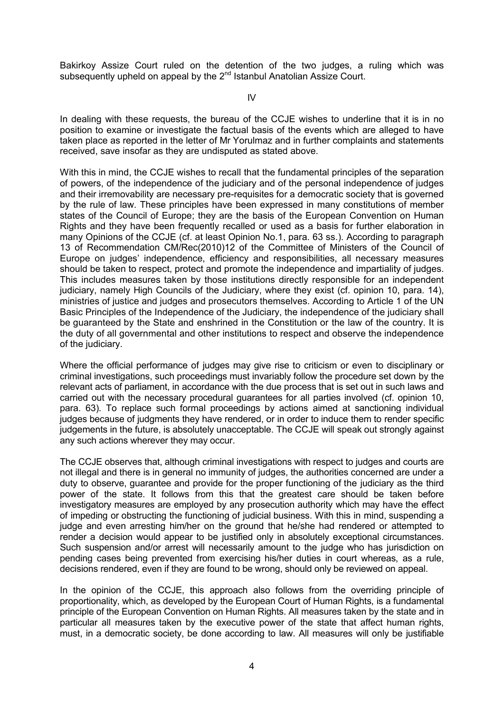Bakirkoy Assize Court ruled on the detention of the two judges, a ruling which was subsequently upheld on appeal by the 2<sup>nd</sup> Istanbul Anatolian Assize Court.

IV

In dealing with these requests, the bureau of the CCJE wishes to underline that it is in no position to examine or investigate the factual basis of the events which are alleged to have taken place as reported in the letter of Mr Yorulmaz and in further complaints and statements received, save insofar as they are undisputed as stated above.

With this in mind, the CCJE wishes to recall that the fundamental principles of the separation of powers, of the independence of the judiciary and of the personal independence of judges and their irremovability are necessary pre-requisites for a democratic society that is governed by the rule of law. These principles have been expressed in many constitutions of member states of the Council of Europe; they are the basis of the European Convention on Human Rights and they have been frequently recalled or used as a basis for further elaboration in many Opinions of the CCJE (cf. at least Opinion No.1, para. 63 ss.). According to paragraph 13 of Recommendation CM/Rec(2010)12 of the Committee of Ministers of the Council of Europe on judges' independence, efficiency and responsibilities, all necessary measures should be taken to respect, protect and promote the independence and impartiality of judges. This includes measures taken by those institutions directly responsible for an independent judiciary, namely High Councils of the Judiciary, where they exist (cf. opinion 10, para. 14), ministries of justice and judges and prosecutors themselves. According to Article 1 of the UN Basic Principles of the Independence of the Judiciary, the independence of the judiciary shall be guaranteed by the State and enshrined in the Constitution or the law of the country. It is the duty of all governmental and other institutions to respect and observe the independence of the judiciary.

Where the official performance of judges may give rise to criticism or even to disciplinary or criminal investigations, such proceedings must invariably follow the procedure set down by the relevant acts of parliament, in accordance with the due process that is set out in such laws and carried out with the necessary procedural guarantees for all parties involved (cf. opinion 10, para. 63). To replace such formal proceedings by actions aimed at sanctioning individual judges because of judgments they have rendered, or in order to induce them to render specific judgements in the future, is absolutely unacceptable. The CCJE will speak out strongly against any such actions wherever they may occur.

The CCJE observes that, although criminal investigations with respect to judges and courts are not illegal and there is in general no immunity of judges, the authorities concerned are under a duty to observe, guarantee and provide for the proper functioning of the judiciary as the third power of the state. It follows from this that the greatest care should be taken before investigatory measures are employed by any prosecution authority which may have the effect of impeding or obstructing the functioning of judicial business. With this in mind, suspending a judge and even arresting him/her on the ground that he/she had rendered or attempted to render a decision would appear to be justified only in absolutely exceptional circumstances. Such suspension and/or arrest will necessarily amount to the judge who has jurisdiction on pending cases being prevented from exercising his/her duties in court whereas, as a rule, decisions rendered, even if they are found to be wrong, should only be reviewed on appeal.

In the opinion of the CCJE, this approach also follows from the overriding principle of proportionality, which, as developed by the European Court of Human Rights, is a fundamental principle of the European Convention on Human Rights. All measures taken by the state and in particular all measures taken by the executive power of the state that affect human rights, must, in a democratic society, be done according to law. All measures will only be justifiable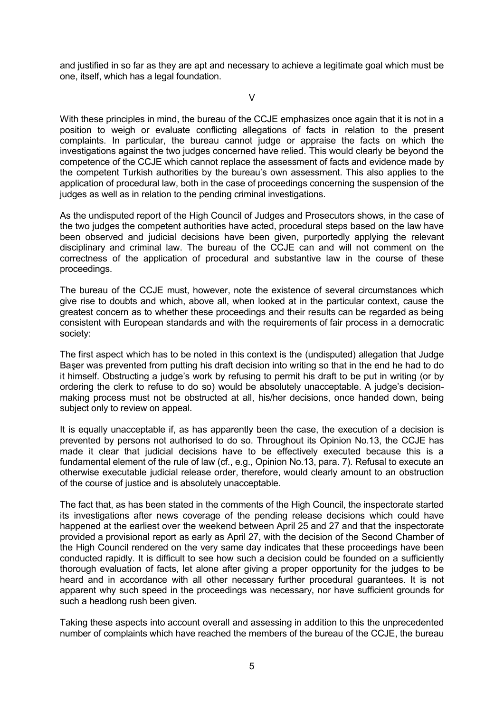and justified in so far as they are apt and necessary to achieve a legitimate goal which must be one, itself, which has a legal foundation.

V

With these principles in mind, the bureau of the CCJE emphasizes once again that it is not in a position to weigh or evaluate conflicting allegations of facts in relation to the present complaints. In particular, the bureau cannot judge or appraise the facts on which the investigations against the two judges concerned have relied. This would clearly be beyond the competence of the CCJE which cannot replace the assessment of facts and evidence made by the competent Turkish authorities by the bureau's own assessment. This also applies to the application of procedural law, both in the case of proceedings concerning the suspension of the judges as well as in relation to the pending criminal investigations.

As the undisputed report of the High Council of Judges and Prosecutors shows, in the case of the two judges the competent authorities have acted, procedural steps based on the law have been observed and judicial decisions have been given, purportedly applying the relevant disciplinary and criminal law. The bureau of the CCJE can and will not comment on the correctness of the application of procedural and substantive law in the course of these proceedings.

The bureau of the CCJE must, however, note the existence of several circumstances which give rise to doubts and which, above all, when looked at in the particular context, cause the greatest concern as to whether these proceedings and their results can be regarded as being consistent with European standards and with the requirements of fair process in a democratic society:

The first aspect which has to be noted in this context is the (undisputed) allegation that Judge Başer was prevented from putting his draft decision into writing so that in the end he had to do it himself. Obstructing a judge's work by refusing to permit his draft to be put in writing (or by ordering the clerk to refuse to do so) would be absolutely unacceptable. A judge's decisionmaking process must not be obstructed at all, his/her decisions, once handed down, being subject only to review on appeal.

It is equally unacceptable if, as has apparently been the case, the execution of a decision is prevented by persons not authorised to do so. Throughout its Opinion No.13, the CCJE has made it clear that judicial decisions have to be effectively executed because this is a fundamental element of the rule of law (cf., e.g., Opinion No.13, para. 7). Refusal to execute an otherwise executable judicial release order, therefore, would clearly amount to an obstruction of the course of justice and is absolutely unacceptable.

The fact that, as has been stated in the comments of the High Council, the inspectorate started its investigations after news coverage of the pending release decisions which could have happened at the earliest over the weekend between April 25 and 27 and that the inspectorate provided a provisional report as early as April 27, with the decision of the Second Chamber of the High Council rendered on the very same day indicates that these proceedings have been conducted rapidly. It is difficult to see how such a decision could be founded on a sufficiently thorough evaluation of facts, let alone after giving a proper opportunity for the judges to be heard and in accordance with all other necessary further procedural guarantees. It is not apparent why such speed in the proceedings was necessary, nor have sufficient grounds for such a headlong rush been given.

Taking these aspects into account overall and assessing in addition to this the unprecedented number of complaints which have reached the members of the bureau of the CCJE, the bureau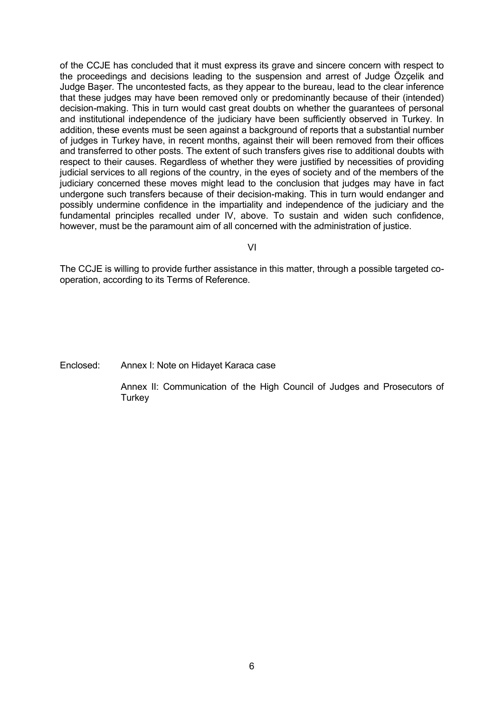of the CCJE has concluded that it must express its grave and sincere concern with respect to the proceedings and decisions leading to the suspension and arrest of Judge Özçelik and Judge Başer. The uncontested facts, as they appear to the bureau, lead to the clear inference that these judges may have been removed only or predominantly because of their (intended) decision-making. This in turn would cast great doubts on whether the guarantees of personal and institutional independence of the judiciary have been sufficiently observed in Turkey. In addition, these events must be seen against a background of reports that a substantial number of judges in Turkey have, in recent months, against their will been removed from their offices and transferred to other posts. The extent of such transfers gives rise to additional doubts with respect to their causes. Regardless of whether they were justified by necessities of providing judicial services to all regions of the country, in the eyes of society and of the members of the judiciary concerned these moves might lead to the conclusion that judges may have in fact undergone such transfers because of their decision-making. This in turn would endanger and possibly undermine confidence in the impartiality and independence of the judiciary and the fundamental principles recalled under IV, above. To sustain and widen such confidence, however, must be the paramount aim of all concerned with the administration of justice.

VI

The CCJE is willing to provide further assistance in this matter, through a possible targeted cooperation, according to its Terms of Reference.

Enclosed: Annex I: Note on Hidayet Karaca case

Annex II: Communication of the High Council of Judges and Prosecutors of **Turkey**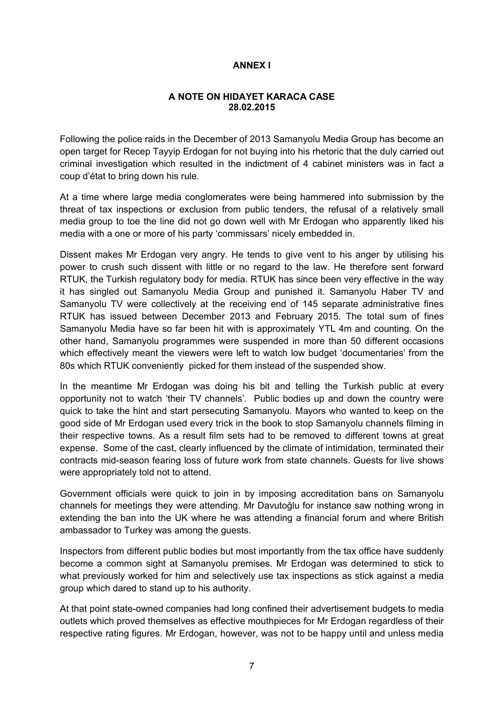## **ANNEX I**

#### **A NOTE ON HIDAYET KARACA CASE 28.02.2015**

Following the police raids in the December of 2013 Samanyolu Media Group has become an open target for Recep Tayyip Erdogan for not buying into his rhetoric that the duly carried out criminal investigation which resulted in the indictment of 4 cabinet ministers was in fact a coup d'état to bring down his rule.

At a time where large media conglomerates were being hammered into submission by the threat of tax inspections or exclusion from public tenders, the refusal of a relatively small media group to toe the line did not go down well with Mr Erdogan who apparently liked his media with a one or more of his party 'commissars' nicely embedded in.

Dissent makes Mr Erdogan very angry. He tends to give vent to his anger by utilising his power to crush such dissent with little or no regard to the law. He therefore sent forward RTUK, the Turkish regulatory body for media. RTUK has since been very effective in the way it has singled out Samanyolu Media Group and punished it. Samanyolu Haber TV and Samanyolu TV were collectively at the receiving end of 145 separate administrative fines RTUK has issued between December 2013 and February 2015. The total sum of fines Samanyolu Media have so far been hit with is approximately YTL 4m and counting. On the other hand, Samanyolu programmes were suspended in more than 50 different occasions which effectively meant the viewers were left to watch low budget 'documentaries' from the 80s which RTUK conveniently picked for them instead of the suspended show.

In the meantime Mr Erdogan was doing his bit and telling the Turkish public at every opportunity not to watch 'their TV channels'. Public bodies up and down the country were quick to take the hint and start persecuting Samanyolu. Mayors who wanted to keep on the good side of Mr Erdogan used every trick in the book to stop Samanyolu channels filming in their respective towns. As a result film sets had to be removed to different towns at great expense. Some of the cast, clearly influenced by the climate of intimidation, terminated their contracts mid-season fearing loss of future work from state channels. Guests for live shows were appropriately told not to attend.

Government officials were quick to join in by imposing accreditation bans on Samanyolu channels for meetings they were attending. Mr Davutoğlu for instance saw nothing wrong in extending the ban into the UK where he was attending a financial forum and where British ambassador to Turkey was among the guests.

Inspectors from different public bodies but most importantly from the tax office have suddenly become a common sight at Samanyolu premises. Mr Erdogan was determined to stick to what previously worked for him and selectively use tax inspections as stick against a media group which dared to stand up to his authority.

At that point state-owned companies had long confined their advertisement budgets to media outlets which proved themselves as effective mouthpieces for Mr Erdogan regardless of their respective rating figures. Mr Erdogan, however, was not to be happy until and unless media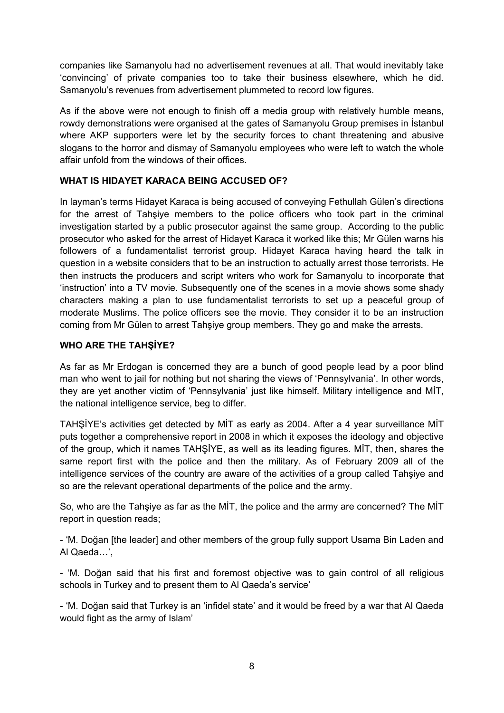companies like Samanyolu had no advertisement revenues at all. That would inevitably take 'convincing' of private companies too to take their business elsewhere, which he did. Samanyolu's revenues from advertisement plummeted to record low figures.

As if the above were not enough to finish off a media group with relatively humble means, rowdy demonstrations were organised at the gates of Samanyolu Group premises in İstanbul where AKP supporters were let by the security forces to chant threatening and abusive slogans to the horror and dismay of Samanyolu employees who were left to watch the whole affair unfold from the windows of their offices.

## **WHAT IS HIDAYET KARACA BEING ACCUSED OF?**

In layman's terms Hidayet Karaca is being accused of conveying Fethullah Gülen's directions for the arrest of Tahşiye members to the police officers who took part in the criminal investigation started by a public prosecutor against the same group. According to the public prosecutor who asked for the arrest of Hidayet Karaca it worked like this; Mr Gülen warns his followers of a fundamentalist terrorist group. Hidayet Karaca having heard the talk in question in a website considers that to be an instruction to actually arrest those terrorists. He then instructs the producers and script writers who work for Samanyolu to incorporate that 'instruction' into a TV movie. Subsequently one of the scenes in a movie shows some shady characters making a plan to use fundamentalist terrorists to set up a peaceful group of moderate Muslims. The police officers see the movie. They consider it to be an instruction coming from Mr Gülen to arrest Tahşiye group members. They go and make the arrests.

## **WHO ARE THE TAHŞİYE?**

As far as Mr Erdogan is concerned they are a bunch of good people lead by a poor blind man who went to jail for nothing but not sharing the views of 'Pennsylvania'. In other words, they are yet another victim of 'Pennsylvania' just like himself. Military intelligence and MİT, the national intelligence service, beg to differ.

TAHŞİYE's activities get detected by MİT as early as 2004. After a 4 year surveillance MİT puts together a comprehensive report in 2008 in which it exposes the ideology and objective of the group, which it names TAHŞİYE, as well as its leading figures. MİT, then, shares the same report first with the police and then the military. As of February 2009 all of the intelligence services of the country are aware of the activities of a group called Tahşiye and so are the relevant operational departments of the police and the army.

So, who are the Tahşiye as far as the MİT, the police and the army are concerned? The MİT report in question reads;

- 'M. Doğan [the leader] and other members of the group fully support Usama Bin Laden and Al Qaeda…',

- 'M. Doğan said that his first and foremost objective was to gain control of all religious schools in Turkey and to present them to Al Qaeda's service'

- 'M. Doğan said that Turkey is an 'infidel state' and it would be freed by a war that Al Qaeda would fight as the army of Islam'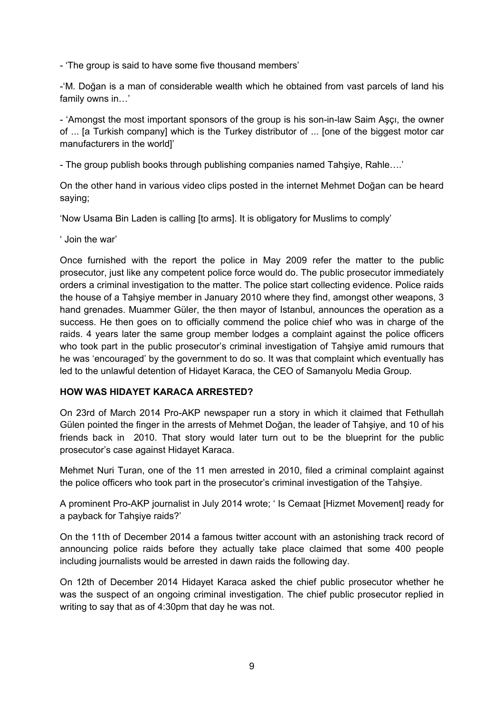- 'The group is said to have some five thousand members'

-'M. Doğan is a man of considerable wealth which he obtained from vast parcels of land his family owns in…'

- 'Amongst the most important sponsors of the group is his son-in-law Saim Aşçı, the owner of ... [a Turkish company] which is the Turkey distributor of ... [one of the biggest motor car manufacturers in the world]'

- The group publish books through publishing companies named Tahşiye, Rahle….'

On the other hand in various video clips posted in the internet Mehmet Doğan can be heard saying;

'Now Usama Bin Laden is calling [to arms]. It is obligatory for Muslims to comply'

' Join the war'

Once furnished with the report the police in May 2009 refer the matter to the public prosecutor, just like any competent police force would do. The public prosecutor immediately orders a criminal investigation to the matter. The police start collecting evidence. Police raids the house of a Tahşiye member in January 2010 where they find, amongst other weapons, 3 hand grenades. Muammer Güler, the then mayor of Istanbul, announces the operation as a success. He then goes on to officially commend the police chief who was in charge of the raids. 4 years later the same group member lodges a complaint against the police officers who took part in the public prosecutor's criminal investigation of Tahşiye amid rumours that he was 'encouraged' by the government to do so. It was that complaint which eventually has led to the unlawful detention of Hidayet Karaca, the CEO of Samanyolu Media Group.

### **HOW WAS HIDAYET KARACA ARRESTED?**

On 23rd of March 2014 Pro-AKP newspaper run a story in which it claimed that Fethullah Gülen pointed the finger in the arrests of Mehmet Doğan, the leader of Tahşiye, and 10 of his friends back in 2010. That story would later turn out to be the blueprint for the public prosecutor's case against Hidayet Karaca.

Mehmet Nuri Turan, one of the 11 men arrested in 2010, filed a criminal complaint against the police officers who took part in the prosecutor's criminal investigation of the Tahşiye.

A prominent Pro-AKP journalist in July 2014 wrote; ' Is Cemaat [Hizmet Movement] ready for a payback for Tahşiye raids?'

On the 11th of December 2014 a famous twitter account with an astonishing track record of announcing police raids before they actually take place claimed that some 400 people including journalists would be arrested in dawn raids the following day.

On 12th of December 2014 Hidayet Karaca asked the chief public prosecutor whether he was the suspect of an ongoing criminal investigation. The chief public prosecutor replied in writing to say that as of 4:30pm that day he was not.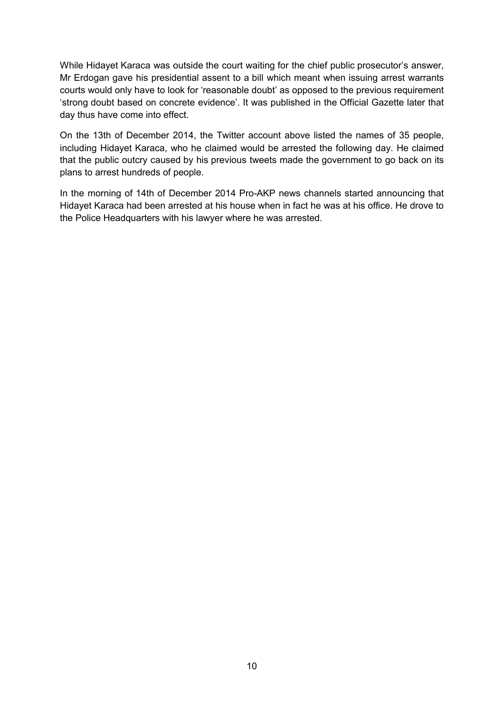While Hidayet Karaca was outside the court waiting for the chief public prosecutor's answer, Mr Erdogan gave his presidential assent to a bill which meant when issuing arrest warrants courts would only have to look for 'reasonable doubt' as opposed to the previous requirement 'strong doubt based on concrete evidence'. It was published in the Official Gazette later that day thus have come into effect.

On the 13th of December 2014, the Twitter account above listed the names of 35 people, including Hidayet Karaca, who he claimed would be arrested the following day. He claimed that the public outcry caused by his previous tweets made the government to go back on its plans to arrest hundreds of people.

In the morning of 14th of December 2014 Pro-AKP news channels started announcing that Hidayet Karaca had been arrested at his house when in fact he was at his office. He drove to the Police Headquarters with his lawyer where he was arrested.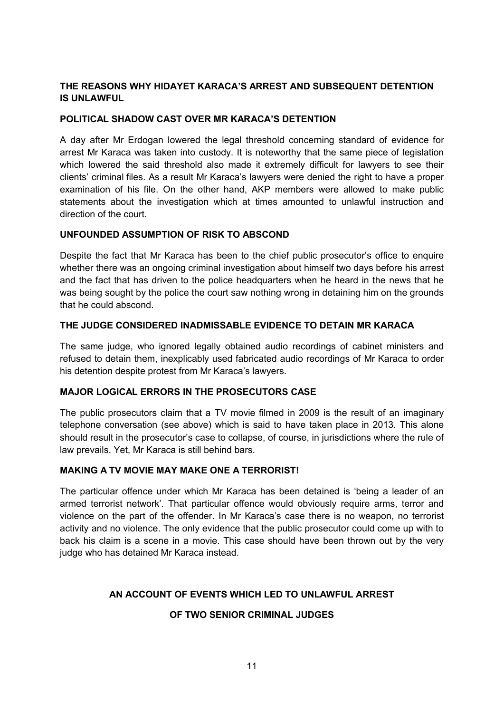## **THE REASONS WHY HIDAYET KARACA'S ARREST AND SUBSEQUENT DETENTION IS UNLAWFUL**

## **POLITICAL SHADOW CAST OVER MR KARACA'S DETENTION**

A day after Mr Erdogan lowered the legal threshold concerning standard of evidence for arrest Mr Karaca was taken into custody. It is noteworthy that the same piece of legislation which lowered the said threshold also made it extremely difficult for lawyers to see their clients' criminal files. As a result Mr Karaca's lawyers were denied the right to have a proper examination of his file. On the other hand, AKP members were allowed to make public statements about the investigation which at times amounted to unlawful instruction and direction of the court.

### **UNFOUNDED ASSUMPTION OF RISK TO ABSCOND**

Despite the fact that Mr Karaca has been to the chief public prosecutor's office to enquire whether there was an ongoing criminal investigation about himself two days before his arrest and the fact that has driven to the police headquarters when he heard in the news that he was being sought by the police the court saw nothing wrong in detaining him on the grounds that he could abscond.

### **THE JUDGE CONSIDERED INADMISSABLE EVIDENCE TO DETAIN MR KARACA**

The same judge, who ignored legally obtained audio recordings of cabinet ministers and refused to detain them, inexplicably used fabricated audio recordings of Mr Karaca to order his detention despite protest from Mr Karaca's lawyers.

### **MAJOR LOGICAL ERRORS IN THE PROSECUTORS CASE**

The public prosecutors claim that a TV movie filmed in 2009 is the result of an imaginary telephone conversation (see above) which is said to have taken place in 2013. This alone should result in the prosecutor's case to collapse, of course, in jurisdictions where the rule of law prevails. Yet, Mr Karaca is still behind bars.

### **MAKING A TV MOVIE MAY MAKE ONE A TERRORIST!**

The particular offence under which Mr Karaca has been detained is 'being a leader of an armed terrorist network'. That particular offence would obviously require arms, terror and violence on the part of the offender. In Mr Karaca's case there is no weapon, no terrorist activity and no violence. The only evidence that the public prosecutor could come up with to back his claim is a scene in a movie. This case should have been thrown out by the very judge who has detained Mr Karaca instead.

## **AN ACCOUNT OF EVENTS WHICH LED TO UNLAWFUL ARREST**

## **OF TWO SENIOR CRIMINAL JUDGES**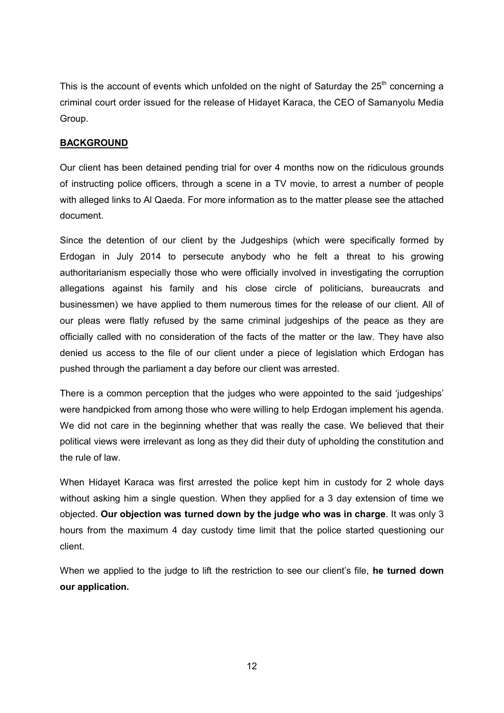This is the account of events which unfolded on the night of Saturday the  $25<sup>th</sup>$  concerning a criminal court order issued for the release of Hidayet Karaca, the CEO of Samanyolu Media Group.

## **BACKGROUND**

Our client has been detained pending trial for over 4 months now on the ridiculous grounds of instructing police officers, through a scene in a TV movie, to arrest a number of people with alleged links to Al Qaeda. For more information as to the matter please see the attached document.

Since the detention of our client by the Judgeships (which were specifically formed by Erdogan in July 2014 to persecute anybody who he felt a threat to his growing authoritarianism especially those who were officially involved in investigating the corruption allegations against his family and his close circle of politicians, bureaucrats and businessmen) we have applied to them numerous times for the release of our client. All of our pleas were flatly refused by the same criminal judgeships of the peace as they are officially called with no consideration of the facts of the matter or the law. They have also denied us access to the file of our client under a piece of legislation which Erdogan has pushed through the parliament a day before our client was arrested.

There is a common perception that the judges who were appointed to the said 'judgeships' were handpicked from among those who were willing to help Erdogan implement his agenda. We did not care in the beginning whether that was really the case. We believed that their political views were irrelevant as long as they did their duty of upholding the constitution and the rule of law.

When Hidayet Karaca was first arrested the police kept him in custody for 2 whole days without asking him a single question. When they applied for a 3 day extension of time we objected. **Our objection was turned down by the judge who was in charge**. It was only 3 hours from the maximum 4 day custody time limit that the police started questioning our client.

When we applied to the judge to lift the restriction to see our client's file, **he turned down our application.**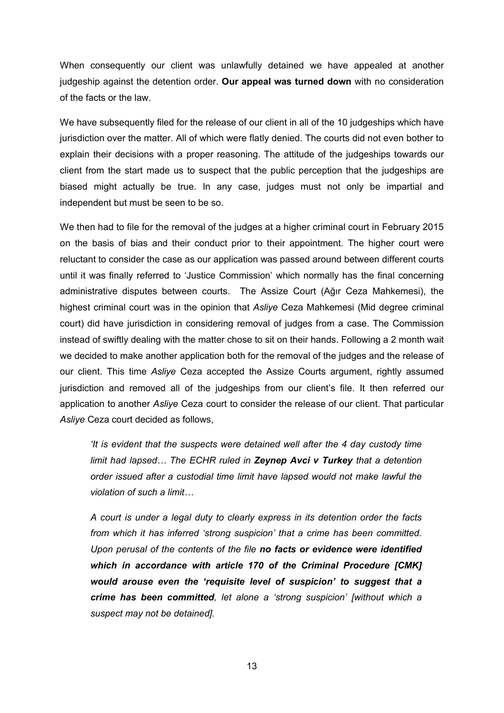When consequently our client was unlawfully detained we have appealed at another judgeship against the detention order. **Our appeal was turned down** with no consideration of the facts or the law.

We have subsequently filed for the release of our client in all of the 10 judgeships which have jurisdiction over the matter. All of which were flatly denied. The courts did not even bother to explain their decisions with a proper reasoning. The attitude of the judgeships towards our client from the start made us to suspect that the public perception that the judgeships are biased might actually be true. In any case, judges must not only be impartial and independent but must be seen to be so.

We then had to file for the removal of the judges at a higher criminal court in February 2015 on the basis of bias and their conduct prior to their appointment. The higher court were reluctant to consider the case as our application was passed around between different courts until it was finally referred to 'Justice Commission' which normally has the final concerning administrative disputes between courts. The Assize Court (Ağır Ceza Mahkemesi), the highest criminal court was in the opinion that *Asliye* Ceza Mahkemesi (Mid degree criminal court) did have jurisdiction in considering removal of judges from a case. The Commission instead of swiftly dealing with the matter chose to sit on their hands. Following a 2 month wait we decided to make another application both for the removal of the judges and the release of our client. This time *Asliye* Ceza accepted the Assize Courts argument, rightly assumed jurisdiction and removed all of the judgeships from our client's file. It then referred our application to another *Asliye* Ceza court to consider the release of our client. That particular *Asliye* Ceza court decided as follows,

*'It is evident that the suspects were detained well after the 4 day custody time limit had lapsed… The ECHR ruled in Zeynep Avci v Turkey that a detention order issued after a custodial time limit have lapsed would not make lawful the violation of such a limit…*

*A court is under a legal duty to clearly express in its detention order the facts from which it has inferred 'strong suspicion' that a crime has been committed. Upon perusal of the contents of the file no facts or evidence were identified which in accordance with article 170 of the Criminal Procedure [CMK] would arouse even the 'requisite level of suspicion' to suggest that a crime has been committed, let alone a 'strong suspicion' [without which a suspect may not be detained].*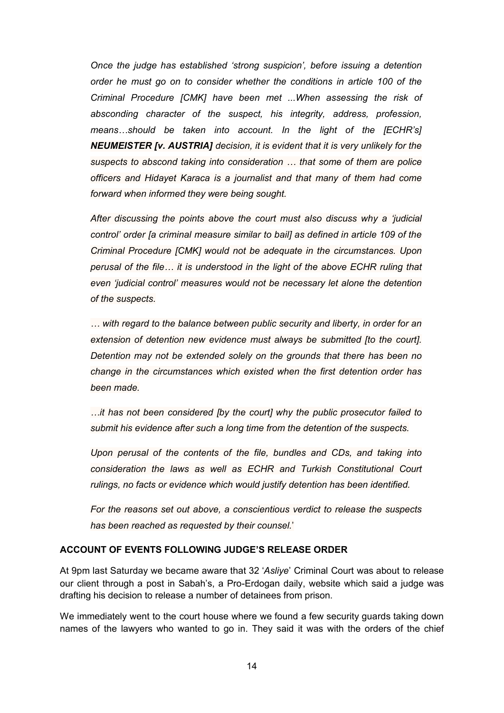*Once the judge has established 'strong suspicion', before issuing a detention order he must go on to consider whether the conditions in article 100 of the Criminal Procedure [CMK] have been met ...When assessing the risk of absconding character of the suspect, his integrity, address, profession, means…should be taken into account. In the light of the [ECHR's] NEUMEISTER [v. AUSTRIA] decision, it is evident that it is very unlikely for the suspects to abscond taking into consideration … that some of them are police officers and Hidayet Karaca is a journalist and that many of them had come forward when informed they were being sought.*

*After discussing the points above the court must also discuss why a 'judicial control' order [a criminal measure similar to bail] as defined in article 109 of the Criminal Procedure [CMK] would not be adequate in the circumstances. Upon perusal of the file… it is understood in the light of the above ECHR ruling that even 'judicial control' measures would not be necessary let alone the detention of the suspects.* 

*… with regard to the balance between public security and liberty, in order for an extension of detention new evidence must always be submitted [to the court]. Detention may not be extended solely on the grounds that there has been no change in the circumstances which existed when the first detention order has been made.* 

*…it has not been considered [by the court] why the public prosecutor failed to submit his evidence after such a long time from the detention of the suspects.*

*Upon perusal of the contents of the file, bundles and CDs, and taking into consideration the laws as well as ECHR and Turkish Constitutional Court rulings, no facts or evidence which would justify detention has been identified.*

*For the reasons set out above, a conscientious verdict to release the suspects has been reached as requested by their counsel.*'

### **ACCOUNT OF EVENTS FOLLOWING JUDGE'S RELEASE ORDER**

At 9pm last Saturday we became aware that 32 '*Asliye*' Criminal Court was about to release our client through a post in Sabah's, a Pro-Erdogan daily, website which said a judge was drafting his decision to release a number of detainees from prison.

We immediately went to the court house where we found a few security guards taking down names of the lawyers who wanted to go in. They said it was with the orders of the chief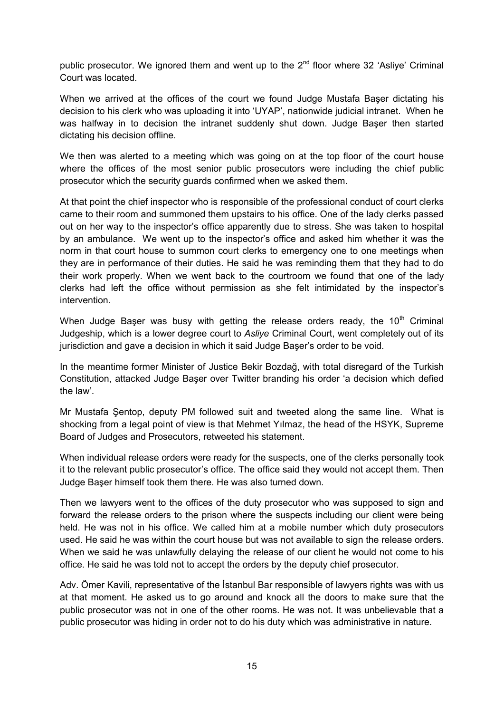public prosecutor. We ignored them and went up to the  $2<sup>nd</sup>$  floor where 32 'Asliye' Criminal Court was located.

When we arrived at the offices of the court we found Judge Mustafa Baser dictating his decision to his clerk who was uploading it into 'UYAP', nationwide judicial intranet. When he was halfway in to decision the intranet suddenly shut down. Judge Başer then started dictating his decision offline.

We then was alerted to a meeting which was going on at the top floor of the court house where the offices of the most senior public prosecutors were including the chief public prosecutor which the security guards confirmed when we asked them.

At that point the chief inspector who is responsible of the professional conduct of court clerks came to their room and summoned them upstairs to his office. One of the lady clerks passed out on her way to the inspector's office apparently due to stress. She was taken to hospital by an ambulance. We went up to the inspector's office and asked him whether it was the norm in that court house to summon court clerks to emergency one to one meetings when they are in performance of their duties. He said he was reminding them that they had to do their work properly. When we went back to the courtroom we found that one of the lady clerks had left the office without permission as she felt intimidated by the inspector's intervention.

When Judge Baser was busy with getting the release orders ready, the  $10<sup>th</sup>$  Criminal Judgeship, which is a lower degree court to *Asliye* Criminal Court, went completely out of its jurisdiction and gave a decision in which it said Judge Başer's order to be void.

In the meantime former Minister of Justice Bekir Bozdağ, with total disregard of the Turkish Constitution, attacked Judge Başer over Twitter branding his order 'a decision which defied the law'.

Mr Mustafa Şentop, deputy PM followed suit and tweeted along the same line. What is shocking from a legal point of view is that Mehmet Yılmaz, the head of the HSYK, Supreme Board of Judges and Prosecutors, retweeted his statement.

When individual release orders were ready for the suspects, one of the clerks personally took it to the relevant public prosecutor's office. The office said they would not accept them. Then Judge Başer himself took them there. He was also turned down.

Then we lawyers went to the offices of the duty prosecutor who was supposed to sign and forward the release orders to the prison where the suspects including our client were being held. He was not in his office. We called him at a mobile number which duty prosecutors used. He said he was within the court house but was not available to sign the release orders. When we said he was unlawfully delaying the release of our client he would not come to his office. He said he was told not to accept the orders by the deputy chief prosecutor.

Adv. Ömer Kavili, representative of the İstanbul Bar responsible of lawyers rights was with us at that moment. He asked us to go around and knock all the doors to make sure that the public prosecutor was not in one of the other rooms. He was not. It was unbelievable that a public prosecutor was hiding in order not to do his duty which was administrative in nature.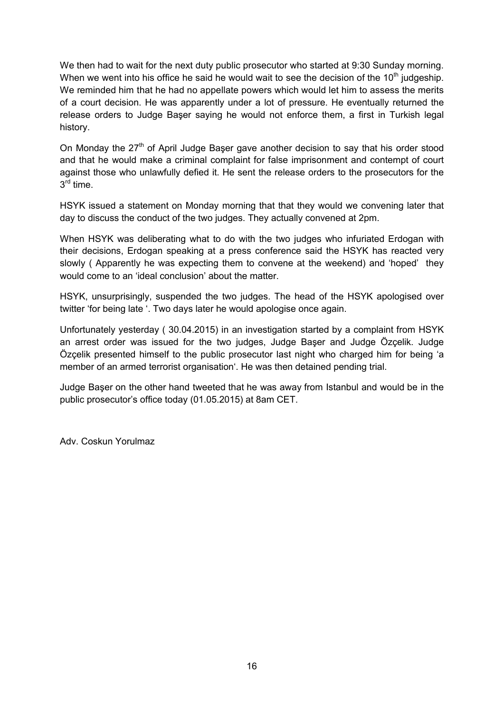We then had to wait for the next duty public prosecutor who started at 9:30 Sunday morning. When we went into his office he said he would wait to see the decision of the  $10<sup>th</sup>$  judgeship. We reminded him that he had no appellate powers which would let him to assess the merits of a court decision. He was apparently under a lot of pressure. He eventually returned the release orders to Judge Başer saying he would not enforce them, a first in Turkish legal history.

On Monday the 27<sup>th</sup> of April Judge Baser gave another decision to say that his order stood and that he would make a criminal complaint for false imprisonment and contempt of court against those who unlawfully defied it. He sent the release orders to the prosecutors for the 3<sup>rd</sup> time.

HSYK issued a statement on Monday morning that that they would we convening later that day to discuss the conduct of the two judges. They actually convened at 2pm.

When HSYK was deliberating what to do with the two judges who infuriated Erdogan with their decisions, Erdogan speaking at a press conference said the HSYK has reacted very slowly ( Apparently he was expecting them to convene at the weekend) and 'hoped' they would come to an 'ideal conclusion' about the matter.

HSYK, unsurprisingly, suspended the two judges. The head of the HSYK apologised over twitter 'for being late '. Two days later he would apologise once again.

Unfortunately yesterday ( 30.04.2015) in an investigation started by a complaint from HSYK an arrest order was issued for the two judges, Judge Başer and Judge Özçelik. Judge Özçelik presented himself to the public prosecutor last night who charged him for being 'a member of an armed terrorist organisation'. He was then detained pending trial.

Judge Başer on the other hand tweeted that he was away from Istanbul and would be in the public prosecutor's office today (01.05.2015) at 8am CET.

Adv. Coskun Yorulmaz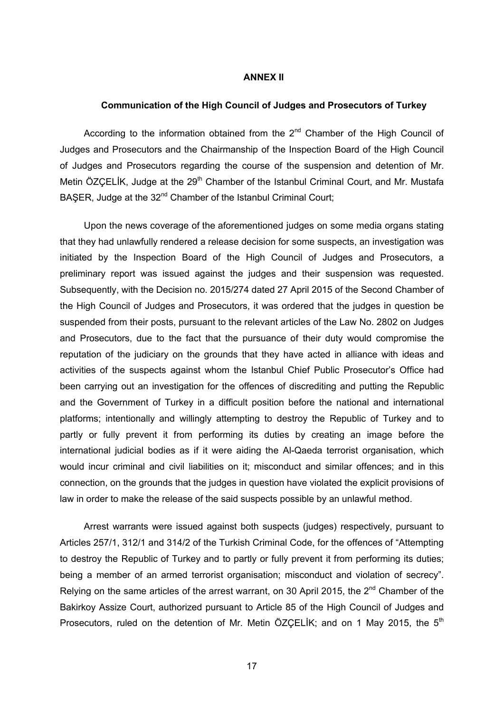#### **ANNEX II**

#### **Communication of the High Council of Judges and Prosecutors of Turkey**

According to the information obtained from the  $2<sup>nd</sup>$  Chamber of the High Council of Judges and Prosecutors and the Chairmanship of the Inspection Board of the High Council of Judges and Prosecutors regarding the course of the suspension and detention of Mr. Metin ÖZCELİK, Judge at the 29<sup>th</sup> Chamber of the Istanbul Criminal Court, and Mr. Mustafa BAŞER, Judge at the 32<sup>nd</sup> Chamber of the Istanbul Criminal Court;

Upon the news coverage of the aforementioned judges on some media organs stating that they had unlawfully rendered a release decision for some suspects, an investigation was initiated by the Inspection Board of the High Council of Judges and Prosecutors, a preliminary report was issued against the judges and their suspension was requested. Subsequently, with the Decision no. 2015/274 dated 27 April 2015 of the Second Chamber of the High Council of Judges and Prosecutors, it was ordered that the judges in question be suspended from their posts, pursuant to the relevant articles of the Law No. 2802 on Judges and Prosecutors, due to the fact that the pursuance of their duty would compromise the reputation of the judiciary on the grounds that they have acted in alliance with ideas and activities of the suspects against whom the Istanbul Chief Public Prosecutor's Office had been carrying out an investigation for the offences of discrediting and putting the Republic and the Government of Turkey in a difficult position before the national and international platforms; intentionally and willingly attempting to destroy the Republic of Turkey and to partly or fully prevent it from performing its duties by creating an image before the international judicial bodies as if it were aiding the Al-Qaeda terrorist organisation, which would incur criminal and civil liabilities on it; misconduct and similar offences; and in this connection, on the grounds that the judges in question have violated the explicit provisions of law in order to make the release of the said suspects possible by an unlawful method.

Arrest warrants were issued against both suspects (judges) respectively, pursuant to Articles 257/1, 312/1 and 314/2 of the Turkish Criminal Code, for the offences of "Attempting to destroy the Republic of Turkey and to partly or fully prevent it from performing its duties; being a member of an armed terrorist organisation; misconduct and violation of secrecy". Relying on the same articles of the arrest warrant, on 30 April 2015, the  $2<sup>nd</sup>$  Chamber of the Bakirkoy Assize Court, authorized pursuant to Article 85 of the High Council of Judges and Prosecutors, ruled on the detention of Mr. Metin ÖZÇELİK; and on 1 May 2015, the 5<sup>th</sup>

17